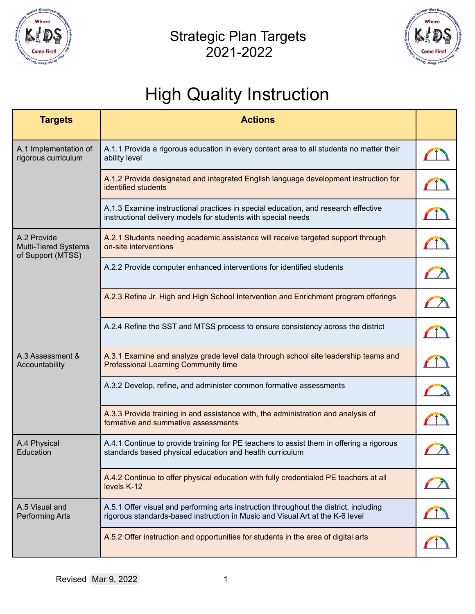

#### Strategic Plan Targets 2021-2022



# High Quality Instruction

| <b>Targets</b>                                                  | <b>Actions</b>                                                                                                                                                         |            |
|-----------------------------------------------------------------|------------------------------------------------------------------------------------------------------------------------------------------------------------------------|------------|
| A.1 Implementation of<br>rigorous curriculum                    | A.1.1 Provide a rigorous education in every content area to all students no matter their<br>ability level                                                              |            |
|                                                                 | A.1.2 Provide designated and integrated English language development instruction for<br>identified students                                                            | $\sqrt{1}$ |
|                                                                 | A.1.3 Examine instructional practices in special education, and research effective<br>instructional delivery models for students with special needs                    |            |
| A.2 Provide<br><b>Multi-Tiered Systems</b><br>of Support (MTSS) | A.2.1 Students needing academic assistance will receive targeted support through<br>on-site interventions                                                              |            |
|                                                                 | A.2.2 Provide computer enhanced interventions for identified students                                                                                                  |            |
|                                                                 | A.2.3 Refine Jr. High and High School Intervention and Enrichment program offerings                                                                                    | $\sqrt{2}$ |
|                                                                 | A.2.4 Refine the SST and MTSS process to ensure consistency across the district                                                                                        | $\sqrt{1}$ |
| A.3 Assessment &<br>Accountability                              | A.3.1 Examine and analyze grade level data through school site leadership teams and<br><b>Professional Learning Community time</b>                                     | $\sqrt{1}$ |
|                                                                 | A.3.2 Develop, refine, and administer common formative assessments                                                                                                     |            |
|                                                                 | A.3.3 Provide training in and assistance with, the administration and analysis of<br>formative and summative assessments                                               |            |
| A.4 Physical<br>Education                                       | A.4.1 Continue to provide training for PE teachers to assist them in offering a rigorous<br>standards based physical education and health curriculum                   |            |
|                                                                 | A.4.2 Continue to offer physical education with fully credentialed PE teachers at all<br>levels K-12                                                                   |            |
| A.5 Visual and<br><b>Performing Arts</b>                        | A.5.1 Offer visual and performing arts instruction throughout the district, including<br>rigorous standards-based instruction in Music and Visual Art at the K-6 level | $\sqrt{1}$ |
|                                                                 | A.5.2 Offer instruction and opportunities for students in the area of digital arts                                                                                     |            |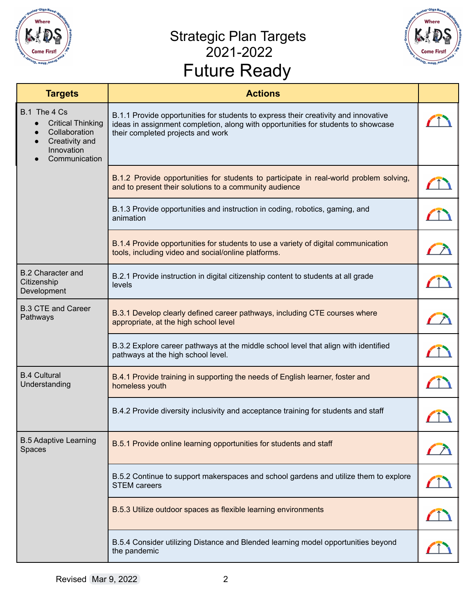

### Strategic Plan Targets 2021-2022 Future Ready



|                                                                                                            | 0001 V T 1 V V V Y                                                                                                                                                                                            |  |
|------------------------------------------------------------------------------------------------------------|---------------------------------------------------------------------------------------------------------------------------------------------------------------------------------------------------------------|--|
| <b>Targets</b>                                                                                             | <b>Actions</b>                                                                                                                                                                                                |  |
| B.1 The 4 Cs<br><b>Critical Thinking</b><br>Collaboration<br>Creativity and<br>Innovation<br>Communication | B.1.1 Provide opportunities for students to express their creativity and innovative<br>ideas in assignment completion, along with opportunities for students to showcase<br>their completed projects and work |  |
|                                                                                                            | B.1.2 Provide opportunities for students to participate in real-world problem solving,<br>and to present their solutions to a community audience                                                              |  |
|                                                                                                            | B.1.3 Provide opportunities and instruction in coding, robotics, gaming, and<br>animation                                                                                                                     |  |
|                                                                                                            | B.1.4 Provide opportunities for students to use a variety of digital communication<br>tools, including video and social/online platforms.                                                                     |  |
| <b>B.2 Character and</b><br>Citizenship<br>Development                                                     | B.2.1 Provide instruction in digital citizenship content to students at all grade<br>levels                                                                                                                   |  |
| <b>B.3 CTE and Career</b><br>Pathways                                                                      | B.3.1 Develop clearly defined career pathways, including CTE courses where<br>appropriate, at the high school level                                                                                           |  |
|                                                                                                            | B.3.2 Explore career pathways at the middle school level that align with identified<br>pathways at the high school level.                                                                                     |  |
| <b>B.4 Cultural</b><br>Understanding                                                                       | B.4.1 Provide training in supporting the needs of English learner, foster and<br>homeless youth                                                                                                               |  |
|                                                                                                            | B.4.2 Provide diversity inclusivity and acceptance training for students and staff                                                                                                                            |  |
| <b>B.5 Adaptive Learning</b><br>Spaces                                                                     | B.5.1 Provide online learning opportunities for students and staff                                                                                                                                            |  |
|                                                                                                            | B.5.2 Continue to support makerspaces and school gardens and utilize them to explore<br><b>STEM careers</b>                                                                                                   |  |
|                                                                                                            | B.5.3 Utilize outdoor spaces as flexible learning environments                                                                                                                                                |  |
|                                                                                                            | B.5.4 Consider utilizing Distance and Blended learning model opportunities beyond<br>the pandemic                                                                                                             |  |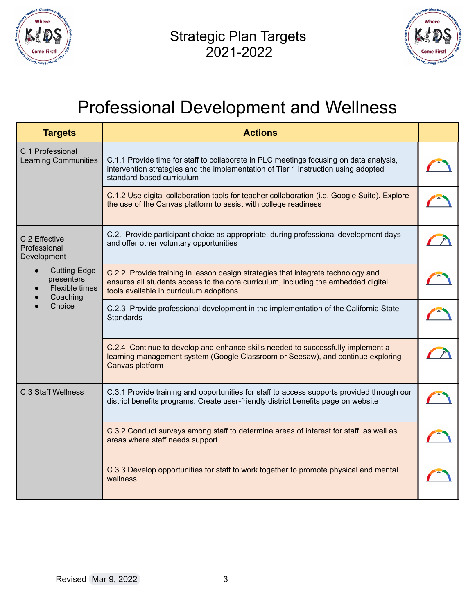



### Professional Development and Wellness

| <b>Targets</b>                                                                                                                  | <b>Actions</b>                                                                                                                                                                                                    |  |
|---------------------------------------------------------------------------------------------------------------------------------|-------------------------------------------------------------------------------------------------------------------------------------------------------------------------------------------------------------------|--|
| C.1 Professional<br><b>Learning Communities</b>                                                                                 | C.1.1 Provide time for staff to collaborate in PLC meetings focusing on data analysis,<br>intervention strategies and the implementation of Tier 1 instruction using adopted<br>standard-based curriculum         |  |
|                                                                                                                                 | C.1.2 Use digital collaboration tools for teacher collaboration (i.e. Google Suite). Explore<br>the use of the Canvas platform to assist with college readiness                                                   |  |
| C.2 Effective<br>Professional<br>Development<br>Cutting-Edge<br>$\bullet$<br>presenters<br>Flexible times<br>Coaching<br>Choice | C.2. Provide participant choice as appropriate, during professional development days<br>and offer other voluntary opportunities                                                                                   |  |
|                                                                                                                                 | C.2.2 Provide training in lesson design strategies that integrate technology and<br>ensures all students access to the core curriculum, including the embedded digital<br>tools available in curriculum adoptions |  |
|                                                                                                                                 | C.2.3 Provide professional development in the implementation of the California State<br><b>Standards</b>                                                                                                          |  |
|                                                                                                                                 | C.2.4 Continue to develop and enhance skills needed to successfully implement a<br>learning management system (Google Classroom or Seesaw), and continue exploring<br>Canvas platform                             |  |
| <b>C.3 Staff Wellness</b>                                                                                                       | C.3.1 Provide training and opportunities for staff to access supports provided through our<br>district benefits programs. Create user-friendly district benefits page on website                                  |  |
|                                                                                                                                 | C.3.2 Conduct surveys among staff to determine areas of interest for staff, as well as<br>areas where staff needs support                                                                                         |  |
|                                                                                                                                 | C.3.3 Develop opportunities for staff to work together to promote physical and mental<br>wellness                                                                                                                 |  |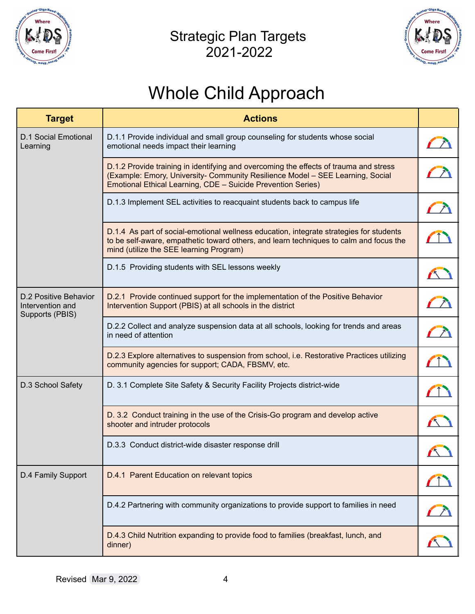

#### Strategic Plan Targets 2021-2022



## Whole Child Approach

| <b>Target</b>                                                | <b>Actions</b>                                                                                                                                                                                                                          |                                                                                                                                                                                                                                      |
|--------------------------------------------------------------|-----------------------------------------------------------------------------------------------------------------------------------------------------------------------------------------------------------------------------------------|--------------------------------------------------------------------------------------------------------------------------------------------------------------------------------------------------------------------------------------|
| <b>D.1 Social Emotional</b><br>Learning                      | D.1.1 Provide individual and small group counseling for students whose social<br>emotional needs impact their learning                                                                                                                  |                                                                                                                                                                                                                                      |
|                                                              | D.1.2 Provide training in identifying and overcoming the effects of trauma and stress<br>(Example: Emory, University- Community Resilience Model - SEE Learning, Social<br>Emotional Ethical Learning, CDE - Suicide Prevention Series) |                                                                                                                                                                                                                                      |
|                                                              | D.1.3 Implement SEL activities to reacquaint students back to campus life                                                                                                                                                               |                                                                                                                                                                                                                                      |
|                                                              | D.1.4 As part of social-emotional wellness education, integrate strategies for students<br>to be self-aware, empathetic toward others, and learn techniques to calm and focus the<br>mind (utilize the SEE learning Program)            |                                                                                                                                                                                                                                      |
|                                                              | D.1.5 Providing students with SEL lessons weekly                                                                                                                                                                                        |                                                                                                                                                                                                                                      |
| D.2 Positive Behavior<br>Intervention and<br>Supports (PBIS) | D.2.1 Provide continued support for the implementation of the Positive Behavior<br>Intervention Support (PBIS) at all schools in the district                                                                                           |                                                                                                                                                                                                                                      |
|                                                              | D.2.2 Collect and analyze suspension data at all schools, looking for trends and areas<br>in need of attention                                                                                                                          |                                                                                                                                                                                                                                      |
|                                                              | D.2.3 Explore alternatives to suspension from school, i.e. Restorative Practices utilizing<br>community agencies for support; CADA, FBSMV, etc.                                                                                         |                                                                                                                                                                                                                                      |
| D.3 School Safety                                            | D. 3.1 Complete Site Safety & Security Facility Projects district-wide                                                                                                                                                                  |                                                                                                                                                                                                                                      |
|                                                              | D. 3.2 Conduct training in the use of the Crisis-Go program and develop active<br>shooter and intruder protocols                                                                                                                        |                                                                                                                                                                                                                                      |
|                                                              | D.3.3 Conduct district-wide disaster response drill                                                                                                                                                                                     |                                                                                                                                                                                                                                      |
| D.4 Family Support                                           | D.4.1 Parent Education on relevant topics                                                                                                                                                                                               |                                                                                                                                                                                                                                      |
|                                                              | D.4.2 Partnering with community organizations to provide support to families in need                                                                                                                                                    | <b>Contract of the State of the State of the State of the State of the State of the State of the State of the State of the State of the State of the State of the State of the State of the State of the State of the State of t</b> |
|                                                              | D.4.3 Child Nutrition expanding to provide food to families (breakfast, lunch, and<br>dinner)                                                                                                                                           |                                                                                                                                                                                                                                      |